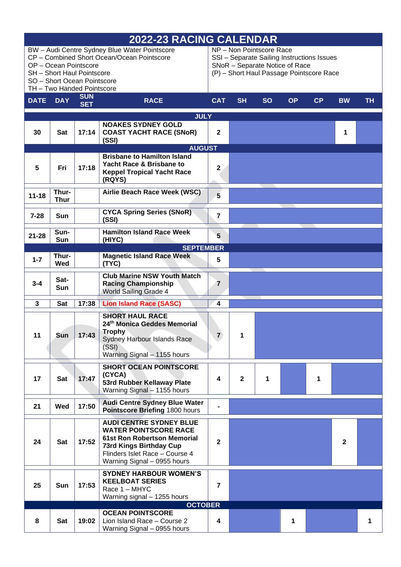| 2022-23 RACING CALENDAR |                                                           |                          |                                                                                                                                                                                                         |                                                                                                                                                      |                |           |           |    |           |    |
|-------------------------|-----------------------------------------------------------|--------------------------|---------------------------------------------------------------------------------------------------------------------------------------------------------------------------------------------------------|------------------------------------------------------------------------------------------------------------------------------------------------------|----------------|-----------|-----------|----|-----------|----|
|                         | OP - Ocean Pointscore<br>SH - Short Haul Pointscore       |                          | BW - Audi Centre Sydney Blue Water Pointscore<br>CP - Combined Short Ocean/Ocean Pointscore                                                                                                             | NP - Non Pointscore Race<br>SSI - Separate Sailing Instructions Issues<br>SNoR - Separate Notice of Race<br>(P) - Short Haul Passage Pointscore Race |                |           |           |    |           |    |
|                         | SO - Short Ocean Pointscore<br>TH - Two Handed Pointscore |                          |                                                                                                                                                                                                         |                                                                                                                                                      |                |           |           |    |           |    |
| <b>DATE</b>             | <b>DAY</b>                                                | <b>SUN</b><br><b>SET</b> | <b>RACE</b>                                                                                                                                                                                             | <b>CAT</b>                                                                                                                                           | <b>SH</b>      | <b>SO</b> | <b>OP</b> | CP | <b>BW</b> | TН |
|                         |                                                           |                          | <b>JULY</b>                                                                                                                                                                                             |                                                                                                                                                      |                |           |           |    |           |    |
| 30                      | Sat                                                       | 17:14                    | <b>NOAKES SYDNEY GOLD</b><br><b>COAST YACHT RACE (SNoR)</b><br>(SSI)                                                                                                                                    | $\mathbf 2$                                                                                                                                          |                |           |           |    | 1         |    |
|                         |                                                           |                          | <b>AUGUST</b><br><b>Brisbane to Hamilton Island</b>                                                                                                                                                     |                                                                                                                                                      |                |           |           |    |           |    |
| 5                       | Fri                                                       | 17:18                    | <b>Yacht Race &amp; Brisbane to</b><br><b>Keppel Tropical Yacht Race</b><br>(RQYS)                                                                                                                      | $\mathbf 2$                                                                                                                                          |                |           |           |    |           |    |
| $11 - 18$               | Thur-<br><b>Thur</b>                                      |                          | Airlie Beach Race Week (WSC)                                                                                                                                                                            | 5                                                                                                                                                    |                |           |           |    |           |    |
| $7 - 28$                | Sun                                                       |                          | <b>CYCA Spring Series (SNoR)</b><br>(SSI)                                                                                                                                                               | $\overline{7}$                                                                                                                                       |                |           |           |    |           |    |
| $21 - 28$               | Sun-<br>Sun                                               |                          | <b>Hamilton Island Race Week</b><br>(HIYC)                                                                                                                                                              | 5                                                                                                                                                    |                |           |           |    |           |    |
|                         | <b>SEPTEMBER</b>                                          |                          |                                                                                                                                                                                                         |                                                                                                                                                      |                |           |           |    |           |    |
| $1 - 7$                 | Thur-<br>Wed                                              |                          | <b>Magnetic Island Race Week</b><br>(TYC)                                                                                                                                                               | 5                                                                                                                                                    |                |           |           |    |           |    |
| $3 - 4$                 | Sat-<br>Sun                                               |                          | <b>Club Marine NSW Youth Match</b><br><b>Racing Championship</b><br>World Sailing Grade 4                                                                                                               | 7                                                                                                                                                    |                |           |           |    |           |    |
| 3                       | <b>Sat</b>                                                | 17:38                    | <b>Lion Island Race (SASC)</b>                                                                                                                                                                          | 4                                                                                                                                                    |                |           |           |    |           |    |
| 11                      | Sun                                                       | 17:43                    | <b>SHORT HAUL RACE</b><br>24th Monica Geddes Memorial<br><b>Trophy</b><br>Sydney Harbour Islands Race<br>(SSI)<br>Warning Signal - 1155 hours                                                           | $\mathbf{7}$                                                                                                                                         |                |           |           |    |           |    |
| 17                      | Sat                                                       | 17:47                    | <b>SHORT OCEAN POINTSCORE</b><br>(CYCA)<br><b>53rd Rubber Kellaway Plate</b><br>Warning Signal - 1155 hours                                                                                             | $\overline{\mathbf{4}}$                                                                                                                              | $\overline{2}$ | 1         |           | 1  |           |    |
| 21                      | Wed                                                       | 17:50                    | <b>Audi Centre Sydney Blue Water</b><br>Pointscore Briefing 1800 hours                                                                                                                                  |                                                                                                                                                      |                |           |           |    |           |    |
| 24                      | <b>Sat</b>                                                | 17:52                    | <b>AUDI CENTRE SYDNEY BLUE</b><br><b>WATER POINTSCORE RACE</b><br><b>61st Ron Robertson Memorial</b><br><b>73rd Kings Birthday Cup</b><br>Flinders Islet Race - Course 4<br>Warning Signal - 0955 hours | $\mathbf{2}$                                                                                                                                         |                |           |           |    | 2         |    |
| 25                      | Sun                                                       | 17:53                    | <b>SYDNEY HARBOUR WOMEN'S</b><br><b>KEELBOAT SERIES</b><br>Race 1 - MHYC<br>Warning signal - 1255 hours                                                                                                 | $\overline{7}$                                                                                                                                       |                |           |           |    |           |    |
|                         |                                                           |                          | <b>OCTOBER</b>                                                                                                                                                                                          |                                                                                                                                                      |                |           |           |    |           |    |
| 8                       | <b>Sat</b>                                                | 19:02                    | <b>OCEAN POINTSCORE</b><br>Lion Island Race - Course 2<br>Warning Signal - 0955 hours                                                                                                                   | 4                                                                                                                                                    |                |           | 1         |    |           |    |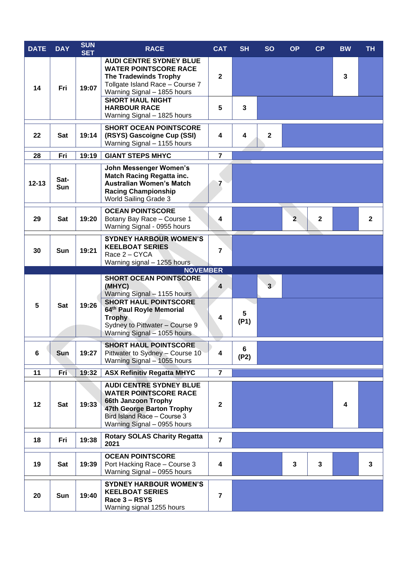| <b>DATE</b> | <b>DAY</b>  | <b>SUN</b><br><b>SET</b> | <b>RACE</b>                                                                                                                                                                                                          | <b>CAT</b>              | <b>SH</b> | <b>SO</b>      | <b>OP</b>    | CP           | <b>BW</b>               | <b>TH</b>    |
|-------------|-------------|--------------------------|----------------------------------------------------------------------------------------------------------------------------------------------------------------------------------------------------------------------|-------------------------|-----------|----------------|--------------|--------------|-------------------------|--------------|
| 14          | Fri         | 19:07                    | <b>AUDI CENTRE SYDNEY BLUE</b><br><b>WATER POINTSCORE RACE</b><br><b>The Tradewinds Trophy</b><br>Tollgate Island Race - Course 7<br>Warning Signal - 1855 hours                                                     | $\mathbf{2}$            |           |                |              |              | $\overline{\mathbf{3}}$ |              |
|             |             |                          | <b>SHORT HAUL NIGHT</b><br><b>HARBOUR RACE</b><br>Warning Signal - 1825 hours                                                                                                                                        | $5\phantom{.0}$         | 3         |                |              |              |                         |              |
| 22          | Sat         | 19:14                    | <b>SHORT OCEAN POINTSCORE</b><br>(RSYS) Gascoigne Cup (SSI)<br>Warning Signal - 1155 hours                                                                                                                           | $\overline{\mathbf{4}}$ | 4         | $\mathbf{2}$   |              |              |                         |              |
| 28          | Fri         | 19:19                    | <b>GIANT STEPS MHYC</b>                                                                                                                                                                                              | $\overline{7}$          |           |                |              |              |                         |              |
| $12 - 13$   | Sat-<br>Sun |                          | John Messenger Women's<br><b>Match Racing Regatta inc.</b><br><b>Australian Women's Match</b><br><b>Racing Championship</b><br>World Sailing Grade 3                                                                 | 7                       |           |                |              |              |                         |              |
| 29          | <b>Sat</b>  | 19:20                    | <b>OCEAN POINTSCORE</b><br>Botany Bay Race - Course 1<br>Warning Signal - 0955 hours                                                                                                                                 | 4                       |           |                | $\mathbf{2}$ | $\mathbf{2}$ |                         | $\mathbf{2}$ |
| 30          | Sun         | 19:21                    | <b>SYDNEY HARBOUR WOMEN'S</b><br><b>KEELBOAT SERIES</b><br>Race 2 - CYCA<br>Warning signal - 1255 hours                                                                                                              | $\overline{7}$          |           |                |              |              |                         |              |
|             |             |                          | <b>NOVEMBER</b>                                                                                                                                                                                                      |                         |           |                |              |              |                         |              |
| 5           | Sat         | 19:26                    | <b>SHORT OCEAN POINTSCORE</b><br>(MHYC)<br>Warning Signal - 1155 hours<br><b>SHORT HAUL POINTSCORE</b><br>64th Paul Royle Memorial<br><b>Trophy</b><br>Sydney to Pittwater - Course 9<br>Warning Signal - 1055 hours | 4<br>4                  | 5<br>(P1) | $\overline{3}$ |              |              |                         |              |
| 6           | Sun         | 19:27                    | <b>SHORT HAUL POINTSCORE</b><br>Pittwater to Sydney - Course 10<br>Warning Signal - 1055 hours                                                                                                                       | 4                       | 6<br>(P2) |                |              |              |                         |              |
| 11          | Fri         | 19:32                    | <b>ASX Refinitiv Regatta MHYC</b>                                                                                                                                                                                    | $\overline{7}$          |           |                |              |              |                         |              |
| 12          | Sat         | 19:33                    | <b>AUDI CENTRE SYDNEY BLUE</b><br><b>WATER POINTSCORE RACE</b><br>66th Janzoon Trophy<br>47th George Barton Trophy<br>Bird Island Race - Course 3<br>Warning Signal - 0955 hours                                     | $\mathbf{2}$            |           |                |              |              | 4                       |              |
| 18          | Fri         | 19:38                    | <b>Rotary SOLAS Charity Regatta</b><br>2021                                                                                                                                                                          | $\overline{7}$          |           |                |              |              |                         |              |
| 19          | Sat         | 19:39                    | <b>OCEAN POINTSCORE</b><br>Port Hacking Race - Course 3<br>Warning Signal - 0955 hours                                                                                                                               | 4                       |           |                | $\mathbf{3}$ | $\mathbf{3}$ |                         | 3            |
| 20          | Sun         | 19:40                    | <b>SYDNEY HARBOUR WOMEN'S</b><br><b>KEELBOAT SERIES</b><br>Race 3 - RSYS<br>Warning signal 1255 hours                                                                                                                | $\overline{7}$          |           |                |              |              |                         |              |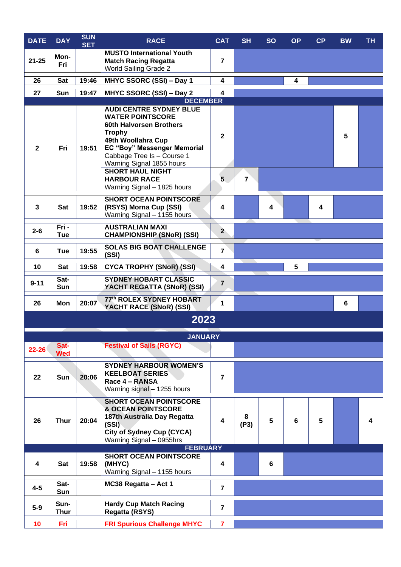| <b>DATE</b>    | <b>DAY</b>          | <b>SUN</b><br><b>SET</b> | <b>RACE</b>                                                                                                                                                                                                                                                                                            | <b>CAT</b>                                             | <b>SH</b> | <b>SO</b> | <b>OP</b> | CP | <b>BW</b> | <b>TH</b> |
|----------------|---------------------|--------------------------|--------------------------------------------------------------------------------------------------------------------------------------------------------------------------------------------------------------------------------------------------------------------------------------------------------|--------------------------------------------------------|-----------|-----------|-----------|----|-----------|-----------|
| $21 - 25$      | Mon-<br>Fri         |                          | <b>MUSTO International Youth</b><br><b>Match Racing Regatta</b><br><b>World Sailing Grade 2</b>                                                                                                                                                                                                        | $\overline{7}$                                         |           |           |           |    |           |           |
| 26             | <b>Sat</b>          | 19:46                    | MHYC SSORC (SSI) - Day 1                                                                                                                                                                                                                                                                               | 4                                                      |           |           |           |    |           |           |
| 27             | Sun                 | 19:47                    | MHYC SSORC (SSI) - Day 2                                                                                                                                                                                                                                                                               | $\boldsymbol{4}$                                       |           |           |           |    |           |           |
| $\mathbf{2}$   | Fri                 | 19:51                    | <b>AUDI CENTRE SYDNEY BLUE</b><br><b>WATER POINTSCORE</b><br>60th Halvorsen Brothers<br><b>Trophy</b><br>49th Woollahra Cup<br>EC "Boy" Messenger Memorial<br>Cabbage Tree Is - Course 1<br>Warning Signal 1855 hours<br><b>SHORT HAUL NIGHT</b><br><b>HARBOUR RACE</b><br>Warning Signal - 1825 hours | <b>DECEMBER</b><br>$\mathbf{2}$<br>5<br>$\overline{7}$ |           |           |           |    |           |           |
| 3              | Sat                 | 19:52                    | <b>SHORT OCEAN POINTSCORE</b><br>(RSYS) Morna Cup (SSI)<br>Warning Signal - 1155 hours                                                                                                                                                                                                                 | 4                                                      |           | 4         |           | 4  |           |           |
| $2 - 6$        | Fri -<br>Tue        |                          | <b>AUSTRALIAN MAXI</b><br><b>CHAMPIONSHIP (SNoR) (SSI)</b>                                                                                                                                                                                                                                             | $2^{\circ}$                                            |           |           |           |    |           |           |
| $6\phantom{1}$ | Tue                 | 19:55                    | <b>SOLAS BIG BOAT CHALLENGE</b><br>(SSI)                                                                                                                                                                                                                                                               | $\overline{7}$                                         |           |           |           |    |           |           |
| 10             | Sat                 | 19:58                    | <b>CYCA TROPHY (SNoR) (SSI)</b>                                                                                                                                                                                                                                                                        | 4                                                      |           |           | 5         |    |           |           |
| $9 - 11$       | Sat-<br>Sun         |                          | <b>SYDNEY HOBART CLASSIC</b><br>YACHT REGATTA (SNoR) (SSI)                                                                                                                                                                                                                                             | $\overline{7}$                                         |           |           |           |    |           |           |
| 26             | Mon                 | 20:07                    | 77th ROLEX SYDNEY HOBART<br>YACHT RACE (SNoR) (SSI)                                                                                                                                                                                                                                                    | 1                                                      |           |           |           |    | 6         |           |
|                |                     |                          | 2023                                                                                                                                                                                                                                                                                                   |                                                        |           |           |           |    |           |           |
|                |                     |                          | <b>JANUARY</b>                                                                                                                                                                                                                                                                                         |                                                        |           |           |           |    |           |           |
| $22 - 26$      | Sat-<br><b>Wed</b>  |                          | <b>Festival of Sails (RGYC)</b>                                                                                                                                                                                                                                                                        |                                                        |           |           |           |    |           |           |
| 22             | <b>Sun</b>          | 20:06                    | <b>SYDNEY HARBOUR WOMEN'S</b><br><b>KEELBOAT SERIES</b><br>Race 4 - RANSA<br>Warning signal - 1255 hours                                                                                                                                                                                               | $\overline{7}$                                         |           |           |           |    |           |           |
| 26             | <b>Thur</b>         | 20:04                    | <b>SHORT OCEAN POINTSCORE</b><br><b>&amp; OCEAN POINTSCORE</b><br>187th Australia Day Regatta<br>(SSI)<br><b>City of Sydney Cup (CYCA)</b><br>Warning Signal - 0955hrs                                                                                                                                 | $\overline{\mathbf{4}}$                                | 8<br>(P3) | 5         | 6         | 5  |           | 4         |
|                |                     |                          | <b>FEBRUARY</b><br><b>SHORT OCEAN POINTSCORE</b>                                                                                                                                                                                                                                                       |                                                        |           |           |           |    |           |           |
| 4              | Sat                 | 19:58                    | (MHYC)<br>Warning Signal - 1155 hours                                                                                                                                                                                                                                                                  | $\overline{\mathbf{4}}$                                |           | 6         |           |    |           |           |
| $4-5$          | Sat-<br>Sun         |                          | MC38 Regatta - Act 1                                                                                                                                                                                                                                                                                   | $\overline{7}$                                         |           |           |           |    |           |           |
| $5-9$          | Sun-<br><b>Thur</b> |                          | <b>Hardy Cup Match Racing</b><br><b>Regatta (RSYS)</b>                                                                                                                                                                                                                                                 | $\overline{7}$                                         |           |           |           |    |           |           |
| 10             | Fri                 |                          | <b>FRI Spurious Challenge MHYC</b>                                                                                                                                                                                                                                                                     | $\overline{7}$                                         |           |           |           |    |           |           |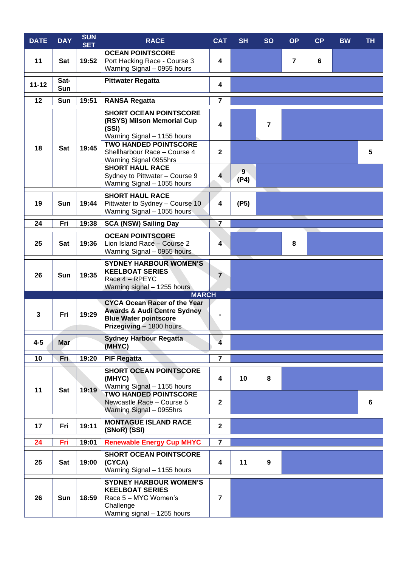| <b>DATE</b> | <b>DAY</b>  | <b>SUN</b><br><b>SET</b> | <b>RACE</b>                                                                                                                                               | <b>CAT</b>        | <b>SH</b> | <b>SO</b>      | <b>OP</b>      | CP | <b>BW</b> | <b>TH</b> |
|-------------|-------------|--------------------------|-----------------------------------------------------------------------------------------------------------------------------------------------------------|-------------------|-----------|----------------|----------------|----|-----------|-----------|
| 11          | Sat         | 19:52                    | <b>OCEAN POINTSCORE</b><br>Port Hacking Race - Course 3<br>Warning Signal - 0955 hours                                                                    | 4                 |           |                | $\overline{7}$ | 6  |           |           |
| $11 - 12$   | Sat-<br>Sun |                          | <b>Pittwater Regatta</b>                                                                                                                                  | 4                 |           |                |                |    |           |           |
| 12          | Sun         | 19:51                    | <b>RANSA Regatta</b>                                                                                                                                      | $\overline{7}$    |           |                |                |    |           |           |
| 18          | Sat         | 19:45                    | <b>SHORT OCEAN POINTSCORE</b><br>(RSYS) Milson Memorial Cup<br>(SSI)<br>Warning Signal - 1155 hours<br><b>TWO HANDED POINTSCORE</b>                       | 4                 |           | $\overline{7}$ |                |    |           |           |
|             |             |                          | Shellharbour Race - Course 4<br>Warning Signal 0955hrs<br><b>SHORT HAUL RACE</b><br>Sydney to Pittwater - Course 9<br>Warning Signal - 1055 hours         | $\mathbf{2}$<br>4 | 9<br>(P4) |                |                |    |           | 5         |
| 19          | Sun         | 19:44                    | <b>SHORT HAUL RACE</b><br>Pittwater to Sydney - Course 10<br>Warning Signal - 1055 hours                                                                  | 4                 | (P5)      |                |                |    |           |           |
| 24          | Fri         | 19:38                    | <b>SCA (NSW) Sailing Day</b>                                                                                                                              | $\overline{7}$    |           |                |                |    |           |           |
| 25          | Sat         | 19:36                    | <b>OCEAN POINTSCORE</b><br>Lion Island Race - Course 2<br>Warning Signal - 0955 hours                                                                     | 4                 |           |                | 8              |    |           |           |
| 26          | Sun         | 19:35                    | <b>SYDNEY HARBOUR WOMEN'S</b><br><b>KEELBOAT SERIES</b><br>Race 4 - RPEYC<br>Warning signal - 1255 hours                                                  | $\overline{7}$    |           |                |                |    |           |           |
| 3           | Fri         | 19:29                    | <b>MARCH</b><br><b>CYCA Ocean Racer of the Year</b><br><b>Awards &amp; Audi Centre Sydney</b><br><b>Blue Water pointscore</b><br>Prizegiving - 1800 hours |                   |           |                |                |    |           |           |
| $4 - 5$     | <b>Mar</b>  |                          | <b>Sydney Harbour Regatta</b><br>(MHYC)                                                                                                                   | 4                 |           |                |                |    |           |           |
| 10          | Fri         | 19:20                    | <b>PIF Regatta</b>                                                                                                                                        | $\overline{7}$    |           |                |                |    |           |           |
| 11          | Sat         | 19:19                    | <b>SHORT OCEAN POINTSCORE</b><br>(MHYC)<br>Warning Signal - 1155 hours                                                                                    | 4                 | 10        | 8              |                |    |           |           |
|             |             |                          | <b>TWO HANDED POINTSCORE</b><br>Newcastle Race - Course 5<br>Warning Signal - 0955hrs                                                                     | $\mathbf{2}$      |           |                |                |    |           | 6         |
| 17          | Fri         | 19:11                    | <b>MONTAGUE ISLAND RACE</b><br>(SNoR) (SSI)                                                                                                               | $\mathbf 2$       |           |                |                |    |           |           |
| 24          | Fri         | 19:01                    | <b>Renewable Energy Cup MHYC</b>                                                                                                                          | $\overline{7}$    |           |                |                |    |           |           |
| 25          | Sat         | 19:00                    | <b>SHORT OCEAN POINTSCORE</b><br>(CYCA)<br>Warning Signal - 1155 hours                                                                                    | 4                 | 11        | 9              |                |    |           |           |
| 26          | Sun         | 18:59                    | <b>SYDNEY HARBOUR WOMEN'S</b><br><b>KEELBOAT SERIES</b><br>Race 5 - MYC Women's<br>Challenge<br>Warning signal - 1255 hours                               | $\overline{7}$    |           |                |                |    |           |           |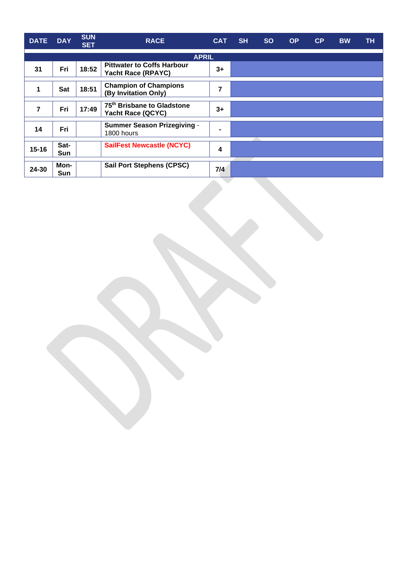| <b>DATE</b> | <b>DAY</b>  | <b>SUN</b><br><b>SET</b> | <b>RACE</b>                                                    | <b>CAT</b> | <b>SH</b> | <b>SO</b> | <b>OP</b> | CP | <b>BW</b> | TH. |
|-------------|-------------|--------------------------|----------------------------------------------------------------|------------|-----------|-----------|-----------|----|-----------|-----|
|             |             |                          | <b>APRIL</b>                                                   |            |           |           |           |    |           |     |
| 31          | Fri         | 18:52                    | <b>Pittwater to Coffs Harbour</b><br><b>Yacht Race (RPAYC)</b> |            |           |           |           |    |           |     |
| 1           | Sat         | 18:51                    | <b>Champion of Champions</b><br>(By Invitation Only)           | 7          |           |           |           |    |           |     |
| 7           | Fri         | 17:49                    | 75 <sup>th</sup> Brisbane to Gladstone<br>Yacht Race (QCYC)    | $3+$       |           |           |           |    |           |     |
| 14          | Fri         |                          | <b>Summer Season Prizegiving -</b><br>1800 hours               |            |           |           |           |    |           |     |
| $15 - 16$   | Sat-<br>Sun |                          | <b>SailFest Newcastle (NCYC)</b>                               | 4          |           |           |           |    |           |     |
| 24-30       | Mon-<br>Sun |                          | <b>Sail Port Stephens (CPSC)</b>                               | 7/4        |           |           |           |    |           |     |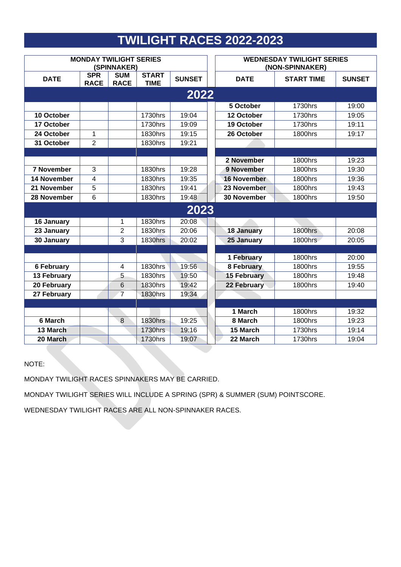## **TWILIGHT RACES 2022-2023**

|                    | <b>MONDAY TWILIGHT SERIES</b> | (SPINNAKER)               |                             | <b>WEDNESDAY TWILIGHT SERIES</b><br>(NON-SPINNAKER) |                    |                   |               |  |
|--------------------|-------------------------------|---------------------------|-----------------------------|-----------------------------------------------------|--------------------|-------------------|---------------|--|
| <b>DATE</b>        | <b>SPR</b><br><b>RACE</b>     | <b>SUM</b><br><b>RACE</b> | <b>START</b><br><b>TIME</b> | <b>SUNSET</b>                                       | <b>DATE</b>        | <b>START TIME</b> | <b>SUNSET</b> |  |
|                    |                               |                           |                             | 2022                                                |                    |                   |               |  |
|                    |                               |                           |                             |                                                     | 5 October          | <b>1730hrs</b>    | 19:00         |  |
| 10 October         |                               |                           | 1730hrs                     | 19:04                                               | 12 October         | 1730hrs           | 19:05         |  |
| 17 October         |                               |                           | 1730hrs                     | 19:09                                               | 19 October         | <b>1730hrs</b>    | 19:11         |  |
| 24 October         | $\mathbf{1}$                  |                           | 1830hrs                     | 19:15                                               | 26 October         | <b>1800hrs</b>    | 19:17         |  |
| 31 October         | $\overline{2}$                |                           | 1830hrs                     | 19:21                                               |                    |                   |               |  |
|                    |                               |                           |                             |                                                     |                    |                   |               |  |
|                    |                               |                           |                             |                                                     | 2 November         | <b>1800hrs</b>    | 19:23         |  |
| <b>7 November</b>  | 3                             |                           | 1830hrs                     | 19:28                                               | 9 November         | <b>1800hrs</b>    | 19:30         |  |
| <b>14 November</b> | $\overline{4}$                |                           | 1830hrs                     | 19:35                                               | <b>16 November</b> | <b>1800hrs</b>    | 19:36         |  |
| 21 November        | 5                             |                           | 1830hrs                     | 19:41                                               | 23 November        | <b>1800hrs</b>    | 19:43         |  |
| 28 November        | 6                             |                           | 1830hrs                     | 19:48                                               | <b>30 November</b> | <b>1800hrs</b>    | 19:50         |  |
|                    |                               |                           |                             | 2023                                                |                    |                   |               |  |
| 16 January         |                               | $\mathbf{1}$              | 1830hrs                     | 20:08                                               |                    |                   |               |  |
| 23 January         |                               | $\overline{2}$            | 1830hrs                     | 20:06                                               | <b>18 January</b>  | <b>1800hrs</b>    | 20:08         |  |
| 30 January         |                               | 3                         | 1830hrs                     | 20:02                                               | 25 January         | 1800hrs           | 20:05         |  |
|                    |                               |                           |                             |                                                     |                    |                   |               |  |
|                    |                               |                           |                             |                                                     | 1 February         | <b>1800hrs</b>    | 20:00         |  |
| <b>6 February</b>  |                               | $\overline{4}$            | 1830hrs                     | 19:56                                               | 8 February         | <b>1800hrs</b>    | 19:55         |  |
| 13 February        |                               | $\overline{5}$            | 1830hrs                     | 19:50                                               | <b>15 February</b> | <b>1800hrs</b>    | 19:48         |  |
| 20 February        |                               | 6                         | 1830hrs                     | 19:42                                               | 22 February        | <b>1800hrs</b>    | 19:40         |  |
| 27 February        |                               | $\overline{7}$            | <b>1830hrs</b>              | 19:34                                               |                    |                   |               |  |
|                    |                               |                           |                             |                                                     |                    |                   |               |  |
|                    |                               |                           |                             |                                                     | 1 March            | <b>1800hrs</b>    | 19:32         |  |
| 6 March            |                               | $\boldsymbol{8}$          | <b>1830hrs</b>              | 19:25                                               | 8 March            | <b>1800hrs</b>    | 19:23         |  |
| 13 March           |                               |                           | 1730hrs                     | 19:16                                               | 15 March           | <b>1730hrs</b>    | 19:14         |  |
| 20 March           |                               |                           | <b>1730hrs</b>              | 19:07                                               | 22 March           | <b>1730hrs</b>    | 19:04         |  |

## NOTE:

MONDAY TWILIGHT RACES SPINNAKERS MAY BE CARRIED.

MONDAY TWILIGHT SERIES WILL INCLUDE A SPRING (SPR) & SUMMER (SUM) POINTSCORE.

WEDNESDAY TWILIGHT RACES ARE ALL NON-SPINNAKER RACES.